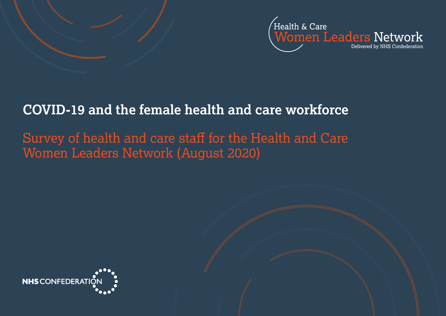

# **COVID-19 and the female health and care workforce**

# Survey of health and care staff for the Health and Care Women Leaders Network (August 2020)

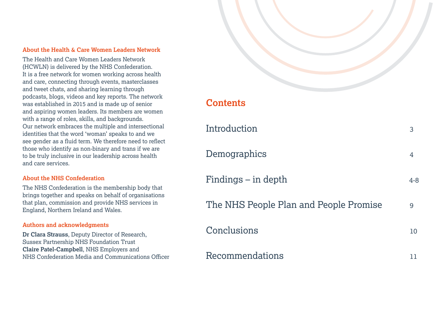#### **About the Health & Care Women Leaders Network**

The Health and Care Women Leaders Network (HCWLN) is delivered by the NHS Confederation. It is a free network for women working across health and care, connecting through events, masterclasses and tweet chats, and sharing learning through podcasts, blogs, videos and key reports. The network was established in 2015 and is made up of senior and aspiring women leaders. Its members are women with a range of roles, skills, and backgrounds. Our network embraces the multiple and intersectional identities that the word 'woman' speaks to and we see gender as a fluid term. We therefore need to reflect those who identify as non-binary and trans if we are to be truly inclusive in our leadership across health and care services.

#### **About the NHS Confederation**

The NHS Confederation is the membership body that brings together and speaks on behalf of organisations that plan, commission and provide NHS services in England, Northern Ireland and Wales.

#### **Authors and acknowledgments**

**Dr Clara Strauss**, Deputy Director of Research, Sussex Partnership NHS Foundation Trust **Claire Patel-Campbell**, NHS Employers and NHS Confederation Media and Communications Officer

# **Contents**

| Introduction                           | 3       |
|----------------------------------------|---------|
| Demographics                           | 4       |
| Findings – in depth                    | $4 - 8$ |
| The NHS People Plan and People Promise | 9       |
| Conclusions                            | 10      |
| Recommendations                        | ΤT      |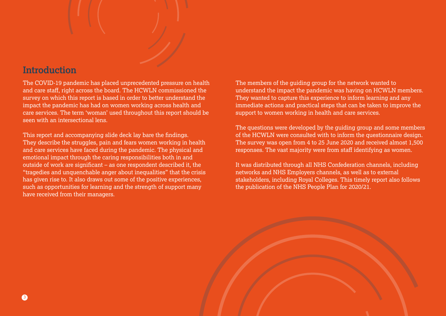## <span id="page-2-0"></span>**Introduction**

The COVID-19 pandemic has placed unprecedented pressure on health and care staff, right across the board. The HCWLN commissioned the survey on which this report is based in order to better understand the impact the pandemic has had on women working across health and care services. The term 'woman' used throughout this report should be seen with an intersectional lens.

This report and accompanying slide deck lay bare the findings. They describe the struggles, pain and fears women working in health and care services have faced during the pandemic. The physical and emotional impact through the caring responsibilities both in and outside of work are significant – as one respondent described it, the "tragedies and unquenchable anger about inequalities" that the crisis has given rise to. It also draws out some of the positive experiences, such as opportunities for learning and the strength of support many have received from their managers.

The members of the guiding group for the network wanted to understand the impact the pandemic was having on HCWLN members. They wanted to capture this experience to inform learning and any immediate actions and practical steps that can be taken to improve the support to women working in health and care services.

The questions were developed by the guiding group and some members of the HCWLN were consulted with to inform the questionnaire design. The survey was open from 4 to 25 June 2020 and received almost 1,500 responses. The vast majority were from staff identifying as women.

It was distributed through all NHS Confederation channels, including networks and NHS Employers channels, as well as to external stakeholders, including Royal Colleges. This timely report also follows the publication of the NHS People Plan for 2020/21.

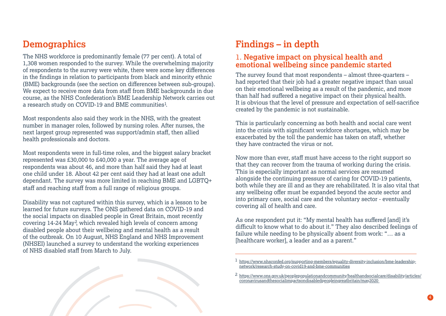# <span id="page-3-0"></span>**Demographics**

The NHS workforce is predominantly female (77 per cent). A total of 1,308 women responded to the survey. While the overwhelming majority of respondents to the survey were white, there were some key differences in the findings in relation to participants from black and minority ethnic (BME) backgrounds (see the section on differences between sub-groups). We expect to receive more data from staff from BME backgrounds in due course, as the NHS Confederation's BME Leadership Network carries out a research study on COVID-19 and BME communities<sup>1</sup>.

Most respondents also said they work in the NHS, with the greatest number in manager roles, followed by nursing roles. After nurses, the next largest group represented was support/admin staff, then allied health professionals and doctors.

Most respondents were in full-time roles, and the biggest salary bracket represented was £30,000 to £40,000 a year. The average age of respondents was about 46, and more than half said they had at least one child under 18. About 42 per cent said they had at least one adult dependant. The survey was more limited in reaching BME and LGBTQ+ staff and reaching staff from a full range of religious groups.

Disability was not captured within this survey, which is a lesson to be learned for future surveys. The ONS gathered data on COVID-19 and the social impacts on disabled people in Great Britain, most recently covering 14-24 May<sup>2</sup>, which revealed high levels of concern among disabled people about their wellbeing and mental health as a result of the outbreak. On 10 August, NHS England and NHS Improvement (NHSEI) launched a survey to understand the working experiences of NHS disabled staff from March to July.



### 1. **Negative impact on physical health and emotional wellbeing since pandemic started**

The survey found that most respondents  $-$  almost three-quarters  $$ had reported that their job had a greater negative impact than usual on their emotional wellbeing as a result of the pandemic, and more than half had suffered a negative impact on their physical health. It is obvious that the level of pressure and expectation of self-sacrifice created by the pandemic is not sustainable.

This is particularly concerning as both health and social care went into the crisis with significant workforce shortages, which may be exacerbated by the toll the pandemic has taken on staff, whether they have contracted the virus or not.

Now more than ever, staff must have access to the right support so that they can recover from the trauma of working during the crisis. This is especially important as normal services are resumed alongside the continuing pressure of caring for COVID-19 patients, both while they are ill and as they are rehabilitated. It is also vital that any wellbeing offer must be expanded beyond the acute sector and into primary care, social care and the voluntary sector - eventually covering all of health and care.

As one respondent put it: "My mental health has suffered [and] it's difficult to know what to do about it." They also described feelings of failure while needing to be physically absent from work: "… as a [healthcare worker], a leader and as a parent."



<sup>2</sup> https://www.ons.gov.uk/peoplepopulationandcommunity[/healthandsocialcare/disabilit](https://www.ons.gov.uk/peoplepopulationandcommunity/healthandsocialcare/disability/articles/coronavirusandthesocialimpactsondisabledpeopleingreatbritain/may2020)y/articles/ coronavirusandthesocialimpactsondisabledpeopleingreatbritain/may2020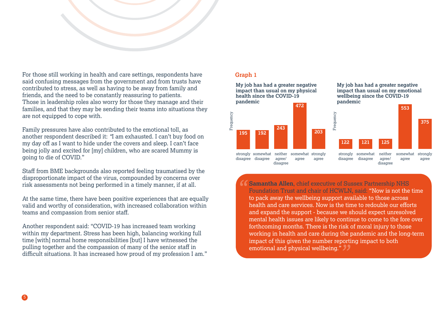

For those still working in health and care settings, respondents have said confusing messages from the government and from trusts have contributed to stress, as well as having to be away from family and friends, and the need to be constantly reassuring to patients. Those in leadership roles also worry for those they manage and their families, and that they may be sending their teams into situations they are not equipped to cope with.

Family pressures have also contributed to the emotional toll, as another respondent described it: *"*I am exhausted. I can't buy food on my day off as I want to hide under the covers and sleep. I can't face being jolly and excited for [my] children, who are scared Mummy is going to die of COVID."

Staff from BME backgrounds also reported feeling traumatised by the disproportionate impact of the virus, compounded by concerns over risk assessments not being performed in a timely manner, if at all.

At the same time, there have been positive experiences that are equally valid and worthy of consideration, with increased collaboration within teams and compassion from senior staff.

Another respondent said: "COVID-19 has increased team working within my department. Stress has been high, balancing working full time [with] normal home responsibilities [but] I have witnessed the pulling together and the compassion of many of the senior staff in difficult situations. It has increased how proud of my profession I am."

#### **Graph 1**



**Samantha Allen**, chief executive of Sussex Partnership NHS Foundation Trust and chair of HCWLN, said: "Now is not the time to pack away the wellbeing support available to those across health and care services. Now is the time to redouble our efforts and expand the support - because we should expect unresolved mental health issues are likely to continue to come to the fore over forthcoming months. There is the risk of moral injury to those working in health and care during the pandemic and the long-term impact of this given the number reporting impact to both emotional and physical wellbeing."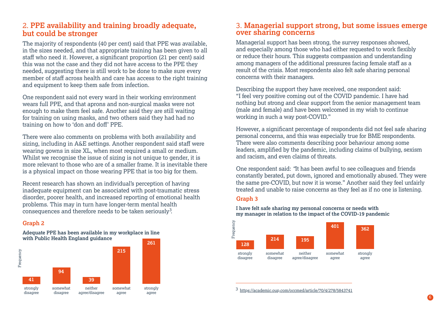## 2. **PPE availability and training broadly adequate, but could be stronger**

The majority of respondents (40 per cent) said that PPE was available, in the sizes needed, and that appropriate training has been given to all staff who need it. However, a significant proportion (21 per cent) said this was not the case and they did not have access to the PPE they needed, suggesting there is still work to be done to make sure every member of staff across health and care has access to the right training and equipment to keep them safe from infection.

One respondent said not every ward in their working environment wears full PPE, and that aprons and non-surgical masks were not enough to make them feel safe. Another said they are still waiting for training on using masks, and two others said they had had no training on how to 'don and doff' PPE.

There were also comments on problems with both availability and sizing, including in A&E settings. Another respondent said staff were wearing gowns in size XL, when most required a small or medium. Whilst we recognise the issue of sizing is not unique to gender, it is more relevant to those who are of a smaller frame. It is inevitable there is a physical impact on those wearing PPE that is too big for them.

Recent research has shown an individual's perception of having inadequate equipment can be associated with post-traumatic stress disorder, poorer health, and increased reporting of emotional health problems. This may in turn have longer-term mental health consequences and therefore needs to be taken seriously<sup>3</sup>.

### **Graph 2**

**Adequate PPE has been available in my workplace in line with Public Health England guidance**



# 3. **Managerial support strong, but some issues emerge over sharing concerns**

Managerial support has been strong, the survey responses showed, and especially among those who had either requested to work flexibly or reduce their hours. This suggests compassion and understanding among managers of the additional pressures facing female staff as a result of the crisis. Most respondents also felt safe sharing personal concerns with their managers.

Describing the support they have received, one respondent said: "I feel very positive coming out of the COVID pandemic. I have had nothing but strong and clear support from the senior management team (male and female) and have been welcomed in my wish to continue working in such a way post-COVID."

However, a significant percentage of respondents did not feel safe sharing personal concerns, and this was especially true for BME respondents. There were also comments describing poor behaviour among some leaders, amplified by the pandemic, including claims of bullying, sexism and racism, and even claims of threats.

One respondent said: *"*It has been awful to see colleagues and friends constantly berated, put down, ignored and emotionally abused. They were the same pre-COVID, but now it is worse." Another said they feel unfairly treated and unable to raise concerns as they feel as if no one is listening.

#### **Graph 3**

**I have felt safe sharing my personal concerns or needs with my manager in relation to the impact of the COVID-19 pandemic**



3 https://academic.oup.com/occmed/article/70/4/278/5843741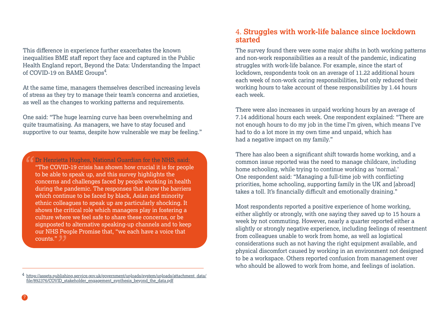This difference in experience further exacerbates the known inequalities BME staff report they face and captured in the Public Health England report, Beyond the Data: Understanding the Impact of COVID-19 on BAME Groups<sup>4</sup>.

At the same time, managers themselves described increasing levels of stress as they try to manage their team's concerns and anxieties, as well as the changes to working patterns and requirements.

One said: "The huge learning curve has been overwhelming and quite traumatising. As managers, we have to stay focused and supportive to our teams, despite how vulnerable we may be feeling."

 $\ell$  Dr Henrietta Hughes, National Guardian for the NHS, said: "The COVID-19 crisis has shown how crucial it is for people to be able to speak up, and this survey highlights the concerns and challenges faced by people working in health during the pandemic. The responses that show the barriers which continue to be faced by black, Asian and minority ethnic colleagues to speak up are particularly shocking. It shows the critical role which managers play in fostering a culture where we feel safe to share these concerns, or be signposted to alternative speaking-up channels and to keep our NHS People Promise that, "we each have a voice that counts."

## 4. **Struggles with work-life balance since lockdown started**

The survey found there were some major shifts in both working patterns and non-work responsibilities as a result of the pandemic, indicating struggles with work-life balance. For example, since the start of lockdown, respondents took on an average of 11.22 additional hours each week of non-work caring responsibilities, but only reduced their working hours to take account of these responsibilities by 1.44 hours each week.

There were also increases in unpaid working hours by an average of 7.14 additional hours each week. One respondent explained: "There are not enough hours to do my job in the time I'm given, which means I've had to do a lot more in my own time and unpaid, which has had a negative impact on my family."

There has also been a significant shift towards home working, and a common issue reported was the need to manage childcare, including home schooling, while trying to continue working as 'normal.' One respondent said: "Managing a full-time job with conflicting priorities, home schooling, supporting family in the UK and [abroad] takes a toll. It's financially difficult and emotionally draining."

Most respondents reported a positive experience of home working, either slightly or strongly, with one saying they saved up to 15 hours a week by not commuting. However, nearly a quarter reported either a slightly or strongly negative experience, including feelings of resentment from colleagues unable to work from home, as well as logistical considerations such as not having the right equipment available, and physical discomfort caused by working in an environment not designed to be a workspace. Others reported confusion from management over who should be allowed to work from home, and feelings of isolation.

<sup>4</sup> https://assets.publishing.service.gov.uk/government/uploads/system/uploads/attachment\_data/ [file/892376/COVID\\_stakeholder\\_en](https://assets.publishing.service.gov.uk/government/uploads/system/uploads/attachment_data/file/892376/COVID_stakeholder_engagement_synthesis_beyond_the_data.pdf)gagement\_synthesis\_beyond\_the\_data.pdf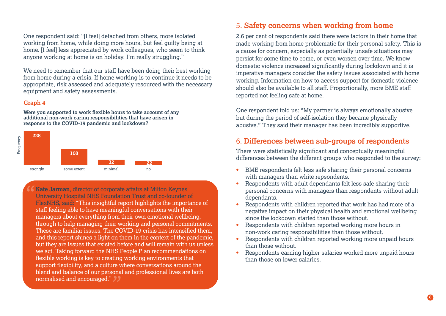One respondent said: "[I feel] detached from others, more isolated working from home, while doing more hours, but feel guilty being at home. [I feel] less appreciated by work colleagues, who seem to think anyone working at home is on holiday. I'm really struggling."

We need to remember that our staff have been doing their best working from home during a crisis. If home working is to continue it needs to be appropriate, risk assessed and adequately resourced with the necessary equipment and safety assessments.

#### **Graph 4**

**Were you supported to work flexible hours to take account of any additional non-work caring responsibilities that have arisen in response to the COVID-19 pandemic and lockdown?** 



**Kate Jarman**, director of corporate affairs at Milton Keynes University Hospital NHS Foundation Trust and co-founder of FlexNHS, said: "This insightful report highlights the importance of staff feeling able to have meaningful conversations with their managers about everything from their own emotional wellbeing, through to help managing their working and personal commitments. These are familiar issues. The COVID-19 crisis has intensified them, and this report shines a light on them in the context of the pandemic, but they are issues that existed before and will remain with us unless we act. Taking forward the NHS People Plan recommendations on flexible working is key to creating working environments that support flexibility, and a culture where conversations around the blend and balance of our personal and professional lives are both normalised and encouraged."

## 5. Safety concerns when working from home

2.6 per cent of respondents said there were factors in their home that made working from home problematic for their personal safety. This is a cause for concern, especially as potentially unsafe situations may persist for some time to come, or even worsen over time. We know domestic violence increased significantly during lockdown and it is imperative managers consider the safety issues associated with home working. Information on how to access support for domestic violence should also be available to all staff. Proportionally, more BME staff reported not feeling safe at home.

One respondent told us: "My partner is always emotionally abusive but during the period of self-isolation they became physically abusive." They said their manager has been incredibly supportive.

### 6. **Differences between sub-groups of respondents**

There were statistically significant and conceptually meaningful differences between the different groups who responded to the survey:

- BME respondents felt less safe sharing their personal concerns **•** with managers than white repsondents.
- Respondents with adult dependants felt less safe sharing their personal concerns with managers than respondents without adult dependants. **•**
- Respondents with children reported that work has had more of a negative impact on their physical health and emotional wellbeing since the lockdown started than those without. **•**
- Respondents with children reported working more hours in non-work caring responsibilities than those without. **•**
- Respondents with children reported working more unpaid hours than those without. **•**
- Respondents earning higher salaries worked more unpaid hours than those on lower salaries. **•**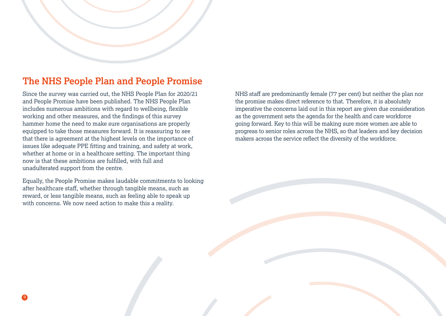# <span id="page-8-0"></span>**The NHS People Plan and People Promise**

Since the survey was carried out, the NHS People Plan for 2020/21 and People Promise have been published. The NHS People Plan includes numerous ambitions with regard to wellbeing, flexible working and other measures, and the findings of this survey hammer home the need to make sure organisations are properly equipped to take those measures forward. It is reassuring to see that there is agreement at the highest levels on the importance of issues like adequate PPE fitting and training, and safety at work, whether at home or in a healthcare setting. The important thing now is that these ambitions are fulfilled, with full and unadulterated support from the centre.

Equally, the People Promise makes laudable commitments to looking after healthcare staff, whether through tangible means, such as reward, or less tangible means, such as feeling able to speak up with concerns. We now need action to make this a reality.

NHS staff are predominantly female (77 per cent) but neither the plan nor the promise makes direct reference to that. Therefore, it is absolutely imperative the concerns laid out in this report are given due consideration as the government sets the agenda for the health and care workforce going forward. Key to this will be making sure more women are able to progress to senior roles across the NHS, so that leaders and key decision makers across the service reflect the diversity of the workforce.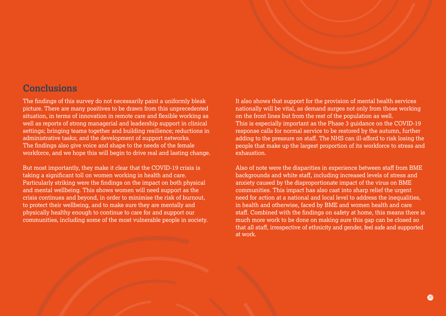## <span id="page-9-0"></span>**Conclusions**

The findings of this survey do not necessarily paint a uniformly bleak picture. There are many positives to be drawn from this unprecedented situation, in terms of innovation in remote care and flexible working as well as reports of strong managerial and leadership support in clinical settings; bringing teams together and building resilience; reductions in administrative tasks; and the development of support networks. The findings also give voice and shape to the needs of the female workforce, and we hope this will begin to drive real and lasting change.

But most importantly, they make it clear that the COVID-19 crisis is taking a significant toll on women working in health and care. Particularly striking were the findings on the impact on both physical and mental wellbeing. This shows women will need support as the crisis continues and beyond, in order to minimise the risk of burnout, to protect their wellbeing, and to make sure they are mentally and physically healthy enough to continue to care for and support our communities, including some of the most vulnerable people in society. It also shows that support for the provision of mental health services nationally will be vital, as demand surges not only from those working on the front lines but from the rest of the population as well. This is especially important as the Phase 3 guidance on the COVID-19 response calls for normal service to be restored by the autumn, further adding to the pressure on staff. The NHS can ill-afford to risk losing the people that make up the largest proportion of its workforce to stress and exhaustion.

Also of note were the disparities in experience between staff from BME backgrounds and white staff, including increased levels of stress and anxiety caused by the disproportionate impact of the virus on BME communities. This impact has also cast into sharp relief the urgent need for action at a national and local level to address the inequalities, in health and otherwise, faced by BME and women health and care staff. Combined with the findings on safety at home, this means there is much more work to be done on making sure this gap can be closed so that all staff, irrespective of ethnicity and gender, feel safe and supported at work.